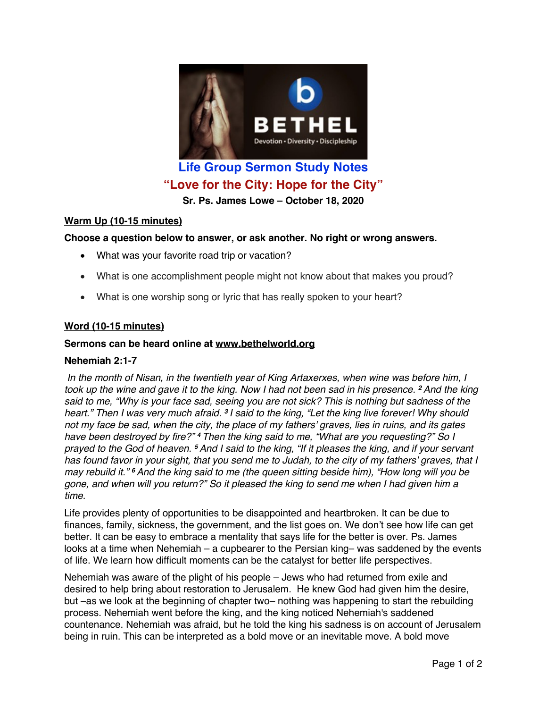

# **Life Group Sermon Study Notes "Love for the City: Hope for the City"**

**Sr. Ps. James Lowe – October 18, 2020**

# **Warm Up (10-15 minutes)**

# **Choose a question below to answer, or ask another. No right or wrong answers.**

- What was your favorite road trip or vacation?
- What is one accomplishment people might not know about that makes you proud?
- What is one worship song or lyric that has really spoken to your heart?

# **Word (10-15 minutes)**

## **Sermons can be heard online at www.bethelworld.org**

#### **Nehemiah 2:1-7**

*In the month of Nisan, in the twentieth year of King Artaxerxes, when wine was before him, I* took up the wine and gave it to the king. Now I had not been sad in his presence. <sup>2</sup> And the king said to me, "Why is your face sad, seeing you are not sick? This is nothing but sadness of the heart." Then I was very much afraid. <sup>3</sup> I said to the king, "Let the king live forever! Why should not my face be sad, when the city, the place of my fathers' graves, lies in ruins, and its gates *have been destroyed by fire?" <sup>4</sup> Then the king said to me, "What are you requesting?" So I* prayed to the God of heaven. <sup>5</sup> And I said to the king, "If it pleases the king, and if your servant has found favor in your sight, that you send me to Judah, to the city of my fathers' graves, that I may rebuild it."<sup>6</sup> And the king said to me (the queen sitting beside him), "How long will you be gone, and when will you return?" So it pleased the king to send me when I had given him a *time.*

Life provides plenty of opportunities to be disappointed and heartbroken. It can be due to finances, family, sickness, the government, and the list goes on. We don't see how life can get better. It can be easy to embrace a mentality that says life for the better is over. Ps. James looks at a time when Nehemiah – a cupbearer to the Persian king– was saddened by the events of life. We learn how difficult moments can be the catalyst for better life perspectives.

Nehemiah was aware of the plight of his people – Jews who had returned from exile and desired to help bring about restoration to Jerusalem. He knew God had given him the desire, but –as we look at the beginning of chapter two– nothing was happening to start the rebuilding process. Nehemiah went before the king, and the king noticed Nehemiah's saddened countenance. Nehemiah was afraid, but he told the king his sadness is on account of Jerusalem being in ruin. This can be interpreted as a bold move or an inevitable move. A bold move